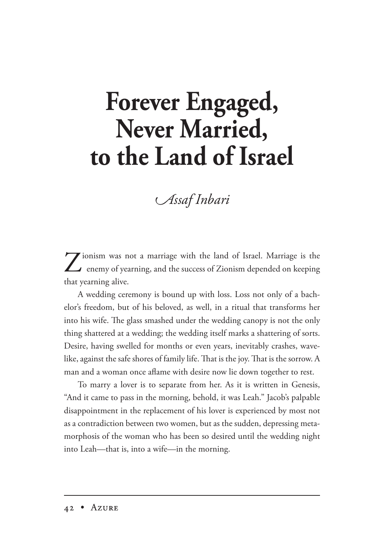## **Forever Engaged, Never Married, to the Land of Israel**

## *ssaf nbari*

Zionism was not a marriage with the land of Israel. Marriage is the enemy of yearning, and the success of Zionism depended on keeping that yearning alive.

A wedding ceremony is bound up with loss. Loss not only of a bachelor's freedom, but of his beloved, as well, in a ritual that transforms her into his wife. The glass smashed under the wedding canopy is not the only thing shattered at a wedding; the wedding itself marks a shattering of sorts. Desire, having swelled for months or even years, inevitably crashes, wavelike, against the safe shores of family life. That is the joy. That is the sorrow. A man and a woman once aflame with desire now lie down together to rest.

To marry a lover is to separate from her. As it is written in Genesis, "And it came to pass in the morning, behold, it was Leah." Jacob's palpable disappointment in the replacement of his lover is experienced by most not as a contradiction between two women, but as the sudden, depressing metamorphosis of the woman who has been so desired until the wedding night into Leah—that is, into a wife—in the morning.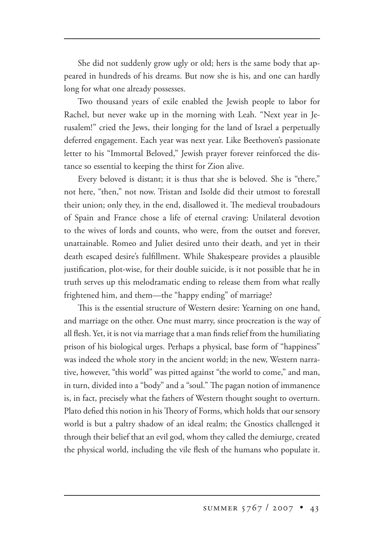She did not suddenly grow ugly or old; hers is the same body that appeared in hundreds of his dreams. But now she is his, and one can hardly long for what one already possesses.

Two thousand years of exile enabled the Jewish people to labor for Rachel, but never wake up in the morning with Leah. "Next year in Jerusalem!" cried the Jews, their longing for the land of Israel a perpetually deferred engagement. Each year was next year. Like Beethoven's passionate letter to his "Immortal Beloved," Jewish prayer forever reinforced the distance so essential to keeping the thirst for Zion alive.

Every beloved is distant; it is thus that she is beloved. She is "there," not here, "then," not now. Tristan and Isolde did their utmost to forestall their union; only they, in the end, disallowed it. The medieval troubadours of Spain and France chose a life of eternal craving: Unilateral devotion to the wives of lords and counts, who were, from the outset and forever, unattainable. Romeo and Juliet desired unto their death, and yet in their death escaped desire's fulfillment. While Shakespeare provides a plausible justification, plot-wise, for their double suicide, is it not possible that he in truth serves up this melodramatic ending to release them from what really frightened him, and them—the "happy ending" of marriage?

This is the essential structure of Western desire: Yearning on one hand, and marriage on the other. One must marry, since procreation is the way of all flesh. Yet, it is not via marriage that a man finds relief from the humiliating prison of his biological urges. Perhaps a physical, base form of "happiness" was indeed the whole story in the ancient world; in the new, Western narrative, however, "this world" was pitted against "the world to come," and man, in turn, divided into a "body" and a "soul." The pagan notion of immanence is, in fact, precisely what the fathers of Western thought sought to overturn. Plato defied this notion in his Theory of Forms, which holds that our sensory world is but a paltry shadow of an ideal realm; the Gnostics challenged it through their belief that an evil god, whom they called the demiurge, created the physical world, including the vile flesh of the humans who populate it.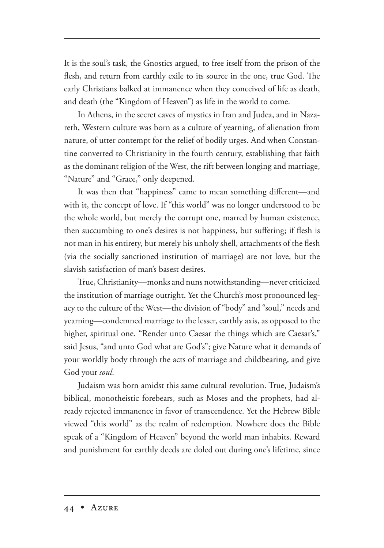It is the soul's task, the Gnostics argued, to free itself from the prison of the flesh, and return from earthly exile to its source in the one, true God. The early Christians balked at immanence when they conceived of life as death, and death (the "Kingdom of Heaven") as life in the world to come.

In Athens, in the secret caves of mystics in Iran and Judea, and in Nazareth, Western culture was born as a culture of yearning, of alienation from nature, of utter contempt for the relief of bodily urges. And when Constantine converted to Christianity in the fourth century, establishing that faith as the dominant religion of the West, the rift between longing and marriage, "Nature" and "Grace," only deepened.

It was then that "happiness" came to mean something different—and with it, the concept of love. If "this world" was no longer understood to be the whole world, but merely the corrupt one, marred by human existence, then succumbing to one's desires is not happiness, but suffering; if flesh is not man in his entirety, but merely his unholy shell, attachments of the flesh (via the socially sanctioned institution of marriage) are not love, but the slavish satisfaction of man's basest desires.

True, Christianity—monks and nuns notwithstanding—never criticized the institution of marriage outright. Yet the Church's most pronounced legacy to the culture of the West—the division of "body" and "soul," needs and yearning—condemned marriage to the lesser, earthly axis, as opposed to the higher, spiritual one. "Render unto Caesar the things which are Caesar's," said Jesus, "and unto God what are God's"; give Nature what it demands of your worldly body through the acts of marriage and childbearing, and give God your *soul*.

Judaism was born amidst this same cultural revolution. True, Judaism's biblical, monotheistic forebears, such as Moses and the prophets, had already rejected immanence in favor of transcendence. Yet the Hebrew Bible viewed "this world" as the realm of redemption. Nowhere does the Bible speak of a "Kingdom of Heaven" beyond the world man inhabits. Reward and punishment for earthly deeds are doled out during one's lifetime, since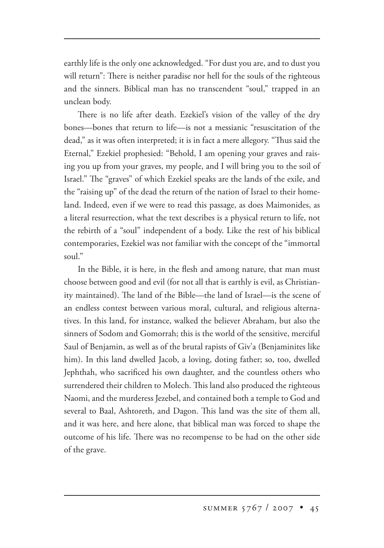earthly life is the only one acknowledged. "For dust you are, and to dust you will return": There is neither paradise nor hell for the souls of the righteous and the sinners. Biblical man has no transcendent "soul," trapped in an unclean body.

There is no life after death. Ezekiel's vision of the valley of the dry bones—bones that return to life—is not a messianic "resuscitation of the dead," as it was often interpreted; it is in fact a mere allegory. "Thus said the Eternal," Ezekiel prophesied: "Behold, I am opening your graves and raising you up from your graves, my people, and I will bring you to the soil of Israel." The "graves" of which Ezekiel speaks are the lands of the exile, and the "raising up" of the dead the return of the nation of Israel to their homeland. Indeed, even if we were to read this passage, as does Maimonides, as a literal resurrection, what the text describes is a physical return to life, not the rebirth of a "soul" independent of a body. Like the rest of his biblical contemporaries, Ezekiel was not familiar with the concept of the "immortal soul."

In the Bible, it is here, in the flesh and among nature, that man must choose between good and evil (for not all that is earthly is evil, as Christianity maintained). The land of the Bible—the land of Israel—is the scene of an endless contest between various moral, cultural, and religious alternatives. In this land, for instance, walked the believer Abraham, but also the sinners of Sodom and Gomorrah; this is the world of the sensitive, merciful Saul of Benjamin, as well as of the brutal rapists of Giv'a (Benjaminites like him). In this land dwelled Jacob, a loving, doting father; so, too, dwelled Jephthah, who sacrificed his own daughter, and the countless others who surrendered their children to Molech. This land also produced the righteous Naomi, and the murderess Jezebel, and contained both a temple to God and several to Baal, Ashtoreth, and Dagon. This land was the site of them all, and it was here, and here alone, that biblical man was forced to shape the outcome of his life. There was no recompense to be had on the other side of the grave.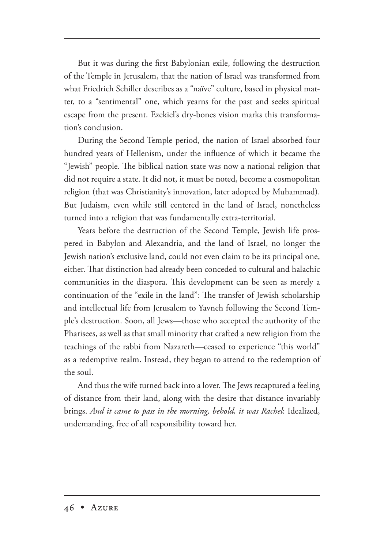But it was during the first Babylonian exile, following the destruction of the Temple in Jerusalem, that the nation of Israel was transformed from what Friedrich Schiller describes as a "naïve" culture, based in physical matter, to a "sentimental" one, which yearns for the past and seeks spiritual escape from the present. Ezekiel's dry-bones vision marks this transformation's conclusion.

During the Second Temple period, the nation of Israel absorbed four hundred years of Hellenism, under the influence of which it became the "Jewish" people. The biblical nation state was now a national religion that did not require a state. It did not, it must be noted, become a cosmopolitan religion (that was Christianity's innovation, later adopted by Muhammad). But Judaism, even while still centered in the land of Israel, nonetheless turned into a religion that was fundamentally extra-territorial.

Years before the destruction of the Second Temple, Jewish life prospered in Babylon and Alexandria, and the land of Israel, no longer the Jewish nation's exclusive land, could not even claim to be its principal one, either. That distinction had already been conceded to cultural and halachic communities in the diaspora. This development can be seen as merely a continuation of the "exile in the land": The transfer of Jewish scholarship and intellectual life from Jerusalem to Yavneh following the Second Temple's destruction. Soon, all Jews—those who accepted the authority of the Pharisees, as well as that small minority that crafted a new religion from the teachings of the rabbi from Nazareth—ceased to experience "this world" as a redemptive realm. Instead, they began to attend to the redemption of the soul.

And thus the wife turned back into a lover. The Jews recaptured a feeling of distance from their land, along with the desire that distance invariably brings. *And it came to pass in the morning, behold, it was Rachel*: Idealized, undemanding, free of all responsibility toward her.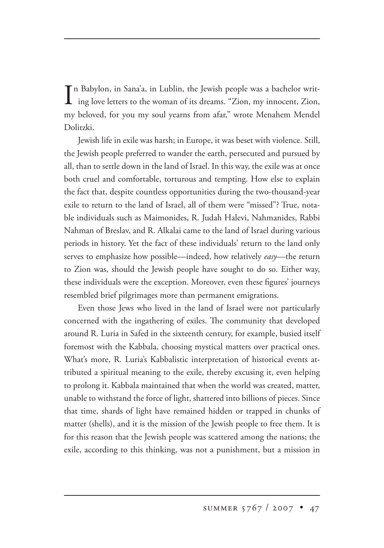In Babylon, in Sana'a, in Lublin, the Jewish people was a bachelor writing love letters to the woman of its dreams. "Zion, my innocent, Zion, n Babylon, in Sana'a, in Lublin, the Jewish people was a bachelor writ my beloved, for you my soul yearns from afar," wrote Menahem Mendel Dolitzki.

Jewish life in exile was harsh; in Europe, it was beset with violence. Still, the Jewish people preferred to wander the earth, persecuted and pursued by all, than to settle down in the land of Israel. In this way, the exile was at once both cruel and comfortable, torturous and tempting. How else to explain the fact that, despite countless opportunities during the two-thousand-year exile to return to the land of Israel, all of them were "missed"? True, notable individuals such as Maimonides, R. Judah Halevi, Nahmanides, Rabbi Nahman of Breslav, and R. Alkalai came to the land of Israel during various periods in history. Yet the fact of these individuals' return to the land only serves to emphasize how possible—indeed, how relatively *easy*—the return to Zion was, should the Jewish people have sought to do so. Either way, these individuals were the exception. Moreover, even these figures' journeys resembled brief pilgrimages more than permanent emigrations.

Even those Jews who lived in the land of Israel were not particularly concerned with the ingathering of exiles. The community that developed around R. Luria in Safed in the sixteenth century, for example, busied itself foremost with the Kabbala, choosing mystical matters over practical ones. What's more, R. Luria's Kabbalistic interpretation of historical events attributed a spiritual meaning to the exile, thereby excusing it, even helping to prolong it. Kabbala maintained that when the world was created, matter, unable to withstand the force of light, shattered into billions of pieces. Since that time, shards of light have remained hidden or trapped in chunks of matter (shells), and it is the mission of the Jewish people to free them. It is for this reason that the Jewish people was scattered among the nations; the exile, according to this thinking, was not a punishment, but a mission in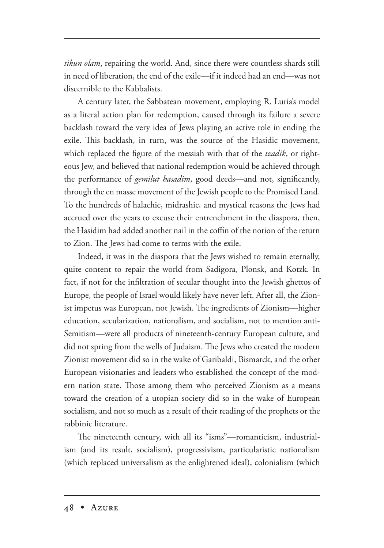*tikun olam*, repairing the world. And, since there were countless shards still in need of liberation, the end of the exile—if it indeed had an end—was not discernible to the Kabbalists.

A century later, the Sabbatean movement, employing R. Luria's model as a literal action plan for redemption, caused through its failure a severe backlash toward the very idea of Jews playing an active role in ending the exile. This backlash, in turn, was the source of the Hasidic movement, which replaced the figure of the messiah with that of the *tzadik*, or righteous Jew, and believed that national redemption would be achieved through the performance of *gemilut hasadim*, good deeds—and not, significantly, through the en masse movement of the Jewish people to the Promised Land. To the hundreds of halachic, midrashic*,* and mystical reasons the Jews had accrued over the years to excuse their entrenchment in the diaspora, then, the Hasidim had added another nail in the coffin of the notion of the return to Zion. The Jews had come to terms with the exile.

Indeed, it was in the diaspora that the Jews wished to remain eternally, quite content to repair the world from Sadigora, Plonsk, and Kotzk. In fact, if not for the infiltration of secular thought into the Jewish ghettos of Europe, the people of Israel would likely have never left. After all, the Zionist impetus was European, not Jewish. The ingredients of Zionism—higher education, secularization, nationalism, and socialism, not to mention anti-Semitism—were all products of nineteenth-century European culture, and did not spring from the wells of Judaism. The Jews who created the modern Zionist movement did so in the wake of Garibaldi, Bismarck, and the other European visionaries and leaders who established the concept of the modern nation state. Those among them who perceived Zionism as a means toward the creation of a utopian society did so in the wake of European socialism, and not so much as a result of their reading of the prophets or the rabbinic literature.

The nineteenth century, with all its "isms"—romanticism, industrialism (and its result, socialism), progressivism, particularistic nationalism (which replaced universalism as the enlightened ideal), colonialism (which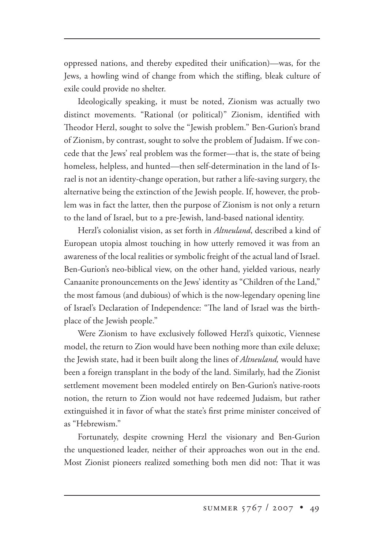oppressed nations, and thereby expedited their unification)—was, for the Jews, a howling wind of change from which the stifling, bleak culture of exile could provide no shelter.

Ideologically speaking, it must be noted, Zionism was actually two distinct movements. "Rational (or political)" Zionism, identified with Theodor Herzl, sought to solve the "Jewish problem." Ben-Gurion's brand of Zionism, by contrast, sought to solve the problem of Judaism. If we concede that the Jews' real problem was the former—that is, the state of being homeless, helpless, and hunted—then self-determination in the land of Israel is not an identity-change operation, but rather a life-saving surgery, the alternative being the extinction of the Jewish people. If, however, the problem was in fact the latter, then the purpose of Zionism is not only a return to the land of Israel, but to a pre-Jewish, land-based national identity.

Herzl's colonialist vision, as set forth in *Altneuland*, described a kind of European utopia almost touching in how utterly removed it was from an awareness of the local realities or symbolic freight of the actual land of Israel. Ben-Gurion's neo-biblical view, on the other hand, yielded various, nearly Canaanite pronouncements on the Jews' identity as "Children of the Land," the most famous (and dubious) of which is the now-legendary opening line of Israel's Declaration of Independence: "The land of Israel was the birthplace of the Jewish people."

Were Zionism to have exclusively followed Herzl's quixotic, Viennese model, the return to Zion would have been nothing more than exile deluxe; the Jewish state, had it been built along the lines of *Altneuland,* would have been a foreign transplant in the body of the land. Similarly, had the Zionist settlement movement been modeled entirely on Ben-Gurion's native-roots notion, the return to Zion would not have redeemed Judaism, but rather extinguished it in favor of what the state's first prime minister conceived of as "Hebrewism."

Fortunately, despite crowning Herzl the visionary and Ben-Gurion the unquestioned leader, neither of their approaches won out in the end. Most Zionist pioneers realized something both men did not: That it was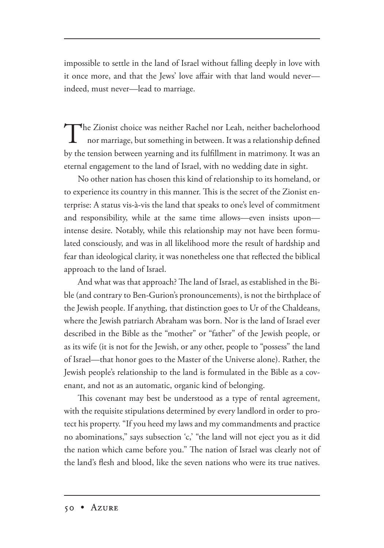impossible to settle in the land of Israel without falling deeply in love with it once more, and that the Jews' love affair with that land would never indeed, must never—lead to marriage.

The Zionist choice was neither Rachel nor Leah, neither bachelorhood<br>nor marriage, but something in between. It was a relationship defined by the tension between yearning and its fulfillment in matrimony. It was an eternal engagement to the land of Israel, with no wedding date in sight.

No other nation has chosen this kind of relationship to its homeland, or to experience its country in this manner. This is the secret of the Zionist enterprise: A status vis-à-vis the land that speaks to one's level of commitment and responsibility, while at the same time allows—even insists upon intense desire. Notably, while this relationship may not have been formulated consciously, and was in all likelihood more the result of hardship and fear than ideological clarity, it was nonetheless one that reflected the biblical approach to the land of Israel.

And what was that approach? The land of Israel, as established in the Bible (and contrary to Ben-Gurion's pronouncements), is not the birthplace of the Jewish people. If anything, that distinction goes to Ur of the Chaldeans, where the Jewish patriarch Abraham was born. Nor is the land of Israel ever described in the Bible as the "mother" or "father" of the Jewish people, or as its wife (it is not for the Jewish, or any other, people to "possess" the land of Israel—that honor goes to the Master of the Universe alone). Rather, the Jewish people's relationship to the land is formulated in the Bible as a covenant, and not as an automatic, organic kind of belonging.

This covenant may best be understood as a type of rental agreement, with the requisite stipulations determined by every landlord in order to protect his property. "If you heed my laws and my commandments and practice no abominations," says subsection 'c,' "the land will not eject you as it did the nation which came before you." The nation of Israel was clearly not of the land's flesh and blood, like the seven nations who were its true natives.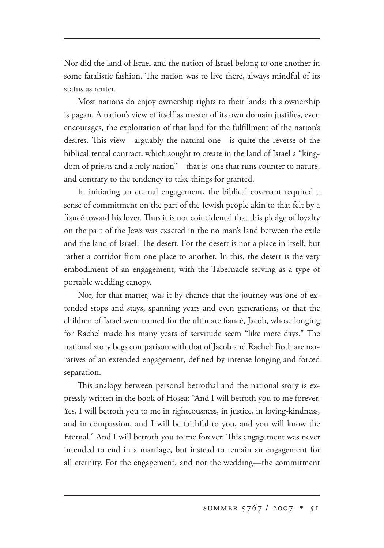Nor did the land of Israel and the nation of Israel belong to one another in some fatalistic fashion. The nation was to live there, always mindful of its status as renter.

Most nations do enjoy ownership rights to their lands; this ownership is pagan. A nation's view of itself as master of its own domain justifies, even encourages, the exploitation of that land for the fulfillment of the nation's desires. This view—arguably the natural one—is quite the reverse of the biblical rental contract, which sought to create in the land of Israel a "kingdom of priests and a holy nation"—that is, one that runs counter to nature, and contrary to the tendency to take things for granted.

In initiating an eternal engagement, the biblical covenant required a sense of commitment on the part of the Jewish people akin to that felt by a fiancé toward his lover. Thus it is not coincidental that this pledge of loyalty on the part of the Jews was exacted in the no man's land between the exile and the land of Israel: The desert. For the desert is not a place in itself, but rather a corridor from one place to another. In this, the desert is the very embodiment of an engagement, with the Tabernacle serving as a type of portable wedding canopy.

Nor, for that matter, was it by chance that the journey was one of extended stops and stays, spanning years and even generations, or that the children of Israel were named for the ultimate fiancé, Jacob, whose longing for Rachel made his many years of servitude seem "like mere days." The national story begs comparison with that of Jacob and Rachel: Both are narratives of an extended engagement, defined by intense longing and forced separation.

This analogy between personal betrothal and the national story is expressly written in the book of Hosea: "And I will betroth you to me forever. Yes, I will betroth you to me in righteousness, in justice, in loving-kindness, and in compassion, and I will be faithful to you, and you will know the Eternal." And I will betroth you to me forever: This engagement was never intended to end in a marriage, but instead to remain an engagement for all eternity. For the engagement, and not the wedding—the commitment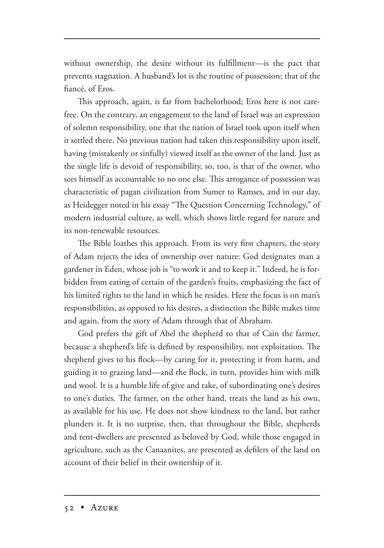without ownership, the desire without its fulfillment—is the pact that prevents stagnation. A husband's lot is the routine of possession; that of the fiancé, of Eros.

This approach, again, is far from bachelorhood; Eros here is not carefree. On the contrary, an engagement to the land of Israel was an expression of solemn responsibility, one that the nation of Israel took upon itself when it settled there. No previous nation had taken this responsibility upon itself, having (mistakenly or sinfully) viewed itself as the owner of the land. Just as the single life is devoid of responsibility, so, too, is that of the owner, who sees himself as accountable to no one else. This arrogance of possession was characteristic of pagan civilization from Sumer to Ramses, and in our day, as Heidegger noted in his essay "The Question Concerning Technology," of modern industrial culture, as well, which shows little regard for nature and its non-renewable resources.

The Bible loathes this approach. From its very first chapters, the story of Adam rejects the idea of ownership over nature: God designates man a gardener in Eden, whose job is "to work it and to keep it." Indeed, he is forbidden from eating of certain of the garden's fruits, emphasizing the fact of his limited rights to the land in which he resides. Here the focus is on man's responsibilities, as opposed to his desires, a distinction the Bible makes time and again, from the story of Adam through that of Abraham.

God prefers the gift of Abel the shepherd to that of Cain the farmer, because a shepherd's life is defined by responsibility, not exploitation. The shepherd gives to his flock—by caring for it, protecting it from harm, and guiding it to grazing land—and the flock, in turn, provides him with milk and wool. It is a humble life of give and take, of subordinating one's desires to one's duties. The farmer, on the other hand, treats the land as his own, as available for his use. He does not show kindness to the land, but rather plunders it. It is no surprise, then, that throughout the Bible, shepherds and tent-dwellers are presented as beloved by God, while those engaged in agriculture, such as the Canaanites, are presented as defilers of the land on account of their belief in their ownership of it.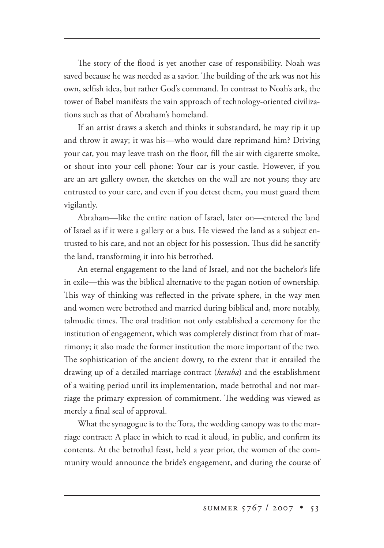The story of the flood is yet another case of responsibility. Noah was saved because he was needed as a savior. The building of the ark was not his own, selfish idea, but rather God's command. In contrast to Noah's ark, the tower of Babel manifests the vain approach of technology-oriented civilizations such as that of Abraham's homeland.

If an artist draws a sketch and thinks it substandard, he may rip it up and throw it away; it was his—who would dare reprimand him? Driving your car, you may leave trash on the floor, fill the air with cigarette smoke, or shout into your cell phone: Your car is your castle. However, if you are an art gallery owner, the sketches on the wall are not yours; they are entrusted to your care, and even if you detest them, you must guard them vigilantly.

Abraham—like the entire nation of Israel, later on—entered the land of Israel as if it were a gallery or a bus. He viewed the land as a subject entrusted to his care, and not an object for his possession. Thus did he sanctify the land, transforming it into his betrothed.

An eternal engagement to the land of Israel, and not the bachelor's life in exile—this was the biblical alternative to the pagan notion of ownership. This way of thinking was reflected in the private sphere, in the way men and women were betrothed and married during biblical and, more notably, talmudic times. The oral tradition not only established a ceremony for the institution of engagement, which was completely distinct from that of matrimony; it also made the former institution the more important of the two. The sophistication of the ancient dowry, to the extent that it entailed the drawing up of a detailed marriage contract (*ketuba*) and the establishment of a waiting period until its implementation, made betrothal and not marriage the primary expression of commitment. The wedding was viewed as merely a final seal of approval.

What the synagogue is to the Tora, the wedding canopy was to the marriage contract: A place in which to read it aloud, in public, and confirm its contents. At the betrothal feast, held a year prior, the women of the community would announce the bride's engagement, and during the course of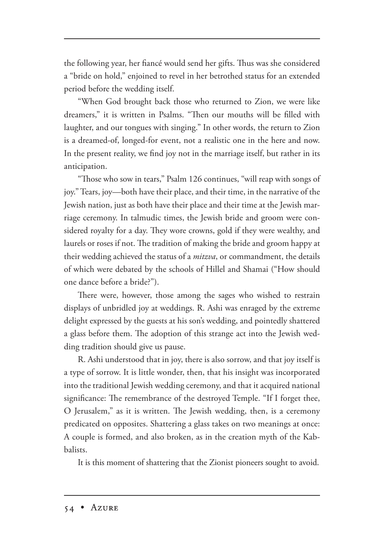the following year, her fiancé would send her gifts. Thus was she considered a "bride on hold," enjoined to revel in her betrothed status for an extended period before the wedding itself.

"When God brought back those who returned to Zion, we were like dreamers," it is written in Psalms. "Then our mouths will be filled with laughter, and our tongues with singing." In other words, the return to Zion is a dreamed-of, longed-for event, not a realistic one in the here and now. In the present reality, we find joy not in the marriage itself, but rather in its anticipation.

"Those who sow in tears," Psalm 126 continues, "will reap with songs of joy." Tears, joy—both have their place, and their time, in the narrative of the Jewish nation, just as both have their place and their time at the Jewish marriage ceremony. In talmudic times, the Jewish bride and groom were considered royalty for a day. They wore crowns, gold if they were wealthy, and laurels or roses if not. The tradition of making the bride and groom happy at their wedding achieved the status of a *mitzva*, or commandment, the details of which were debated by the schools of Hillel and Shamai ("How should one dance before a bride?").

There were, however, those among the sages who wished to restrain displays of unbridled joy at weddings. R. Ashi was enraged by the extreme delight expressed by the guests at his son's wedding, and pointedly shattered a glass before them. The adoption of this strange act into the Jewish wedding tradition should give us pause.

R. Ashi understood that in joy, there is also sorrow, and that joy itself is a type of sorrow. It is little wonder, then, that his insight was incorporated into the traditional Jewish wedding ceremony, and that it acquired national significance: The remembrance of the destroyed Temple. "If I forget thee, O Jerusalem," as it is written. The Jewish wedding, then, is a ceremony predicated on opposites. Shattering a glass takes on two meanings at once: A couple is formed, and also broken, as in the creation myth of the Kabbalists.

It is this moment of shattering that the Zionist pioneers sought to avoid.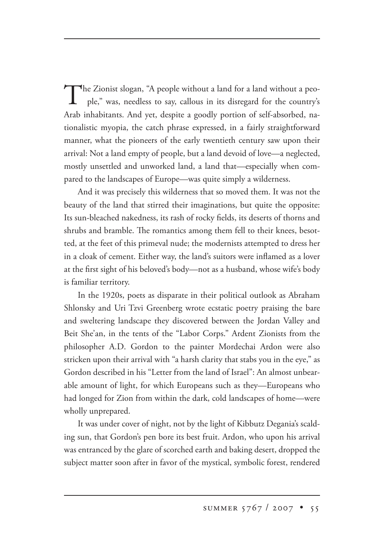The Zionist slogan, "A people without a land for a land without a peo ple," was, needless to say, callous in its disregard for the country's Arab inhabitants. And yet, despite a goodly portion of self-absorbed, nationalistic myopia, the catch phrase expressed, in a fairly straightforward manner, what the pioneers of the early twentieth century saw upon their arrival: Not a land empty of people, but a land devoid of love—a neglected, mostly unsettled and unworked land, a land that—especially when compared to the landscapes of Europe—was quite simply a wilderness.

And it was precisely this wilderness that so moved them. It was not the beauty of the land that stirred their imaginations, but quite the opposite: Its sun-bleached nakedness, its rash of rocky fields, its deserts of thorns and shrubs and bramble. The romantics among them fell to their knees, besotted, at the feet of this primeval nude; the modernists attempted to dress her in a cloak of cement. Either way, the land's suitors were inflamed as a lover at the first sight of his beloved's body—not as a husband, whose wife's body is familiar territory.

In the 1920s, poets as disparate in their political outlook as Abraham Shlonsky and Uri Tzvi Greenberg wrote ecstatic poetry praising the bare and sweltering landscape they discovered between the Jordan Valley and Beit She'an, in the tents of the "Labor Corps." Ardent Zionists from the philosopher A.D. Gordon to the painter Mordechai Ardon were also stricken upon their arrival with "a harsh clarity that stabs you in the eye," as Gordon described in his "Letter from the land of Israel": An almost unbearable amount of light, for which Europeans such as they—Europeans who had longed for Zion from within the dark, cold landscapes of home—were wholly unprepared.

It was under cover of night, not by the light of Kibbutz Degania's scalding sun, that Gordon's pen bore its best fruit. Ardon, who upon his arrival was entranced by the glare of scorched earth and baking desert, dropped the subject matter soon after in favor of the mystical, symbolic forest, rendered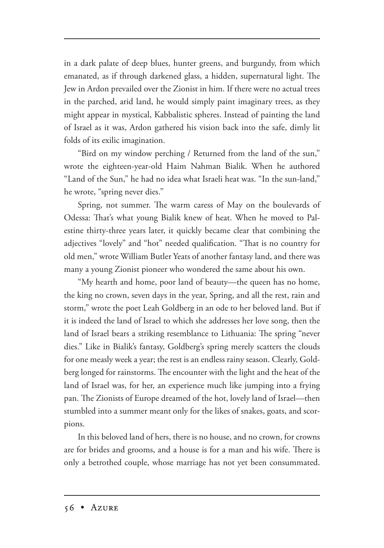in a dark palate of deep blues, hunter greens, and burgundy, from which emanated, as if through darkened glass, a hidden, supernatural light. The Jew in Ardon prevailed over the Zionist in him. If there were no actual trees in the parched, arid land, he would simply paint imaginary trees, as they might appear in mystical, Kabbalistic spheres. Instead of painting the land of Israel as it was, Ardon gathered his vision back into the safe, dimly lit folds of its exilic imagination.

"Bird on my window perching / Returned from the land of the sun," wrote the eighteen-year-old Haim Nahman Bialik. When he authored "Land of the Sun," he had no idea what Israeli heat was. "In the sun-land," he wrote, "spring never dies."

Spring, not summer. The warm caress of May on the boulevards of Odessa: That's what young Bialik knew of heat. When he moved to Palestine thirty-three years later, it quickly became clear that combining the adjectives "lovely" and "hot" needed qualification. "That is no country for old men," wrote William Butler Yeats of another fantasy land, and there was many a young Zionist pioneer who wondered the same about his own.

"My hearth and home, poor land of beauty—the queen has no home, the king no crown, seven days in the year, Spring, and all the rest, rain and storm," wrote the poet Leah Goldberg in an ode to her beloved land. But if it is indeed the land of Israel to which she addresses her love song, then the land of Israel bears a striking resemblance to Lithuania: The spring "never dies." Like in Bialik's fantasy, Goldberg's spring merely scatters the clouds for one measly week a year; the rest is an endless rainy season. Clearly, Goldberg longed for rainstorms. The encounter with the light and the heat of the land of Israel was, for her, an experience much like jumping into a frying pan. The Zionists of Europe dreamed of the hot, lovely land of Israel—then stumbled into a summer meant only for the likes of snakes, goats, and scorpions.

In this beloved land of hers, there is no house, and no crown, for crowns are for brides and grooms, and a house is for a man and his wife. There is only a betrothed couple, whose marriage has not yet been consummated.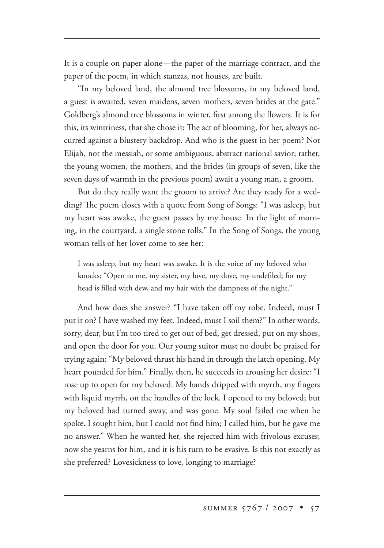It is a couple on paper alone—the paper of the marriage contract, and the paper of the poem, in which stanzas, not houses, are built.

"In my beloved land, the almond tree blossoms, in my beloved land, a guest is awaited, seven maidens, seven mothers, seven brides at the gate." Goldberg's almond tree blossoms in winter, first among the flowers. It is for this, its wintriness, that she chose it: The act of blooming, for her, always occurred against a blustery backdrop. And who is the guest in her poem? Not Elijah, not the messiah, or some ambiguous, abstract national savior; rather, the young women, the mothers, and the brides (in groups of seven, like the seven days of warmth in the previous poem) await a young man, a groom.

But do they really want the groom to arrive? Are they ready for a wedding? The poem closes with a quote from Song of Songs: "I was asleep, but my heart was awake, the guest passes by my house. In the light of morning, in the courtyard, a single stone rolls." In the Song of Songs, the young woman tells of her lover come to see her:

I was asleep, but my heart was awake. It is the voice of my beloved who knocks: "Open to me, my sister, my love, my dove, my undefiled; for my head is filled with dew, and my hair with the dampness of the night."

And how does she answer? "I have taken off my robe. Indeed, must I put it on? I have washed my feet. Indeed, must I soil them?" In other words, sorry, dear, but I'm too tired to get out of bed, get dressed, put on my shoes, and open the door for you. Our young suitor must no doubt be praised for trying again: "My beloved thrust his hand in through the latch opening. My heart pounded for him." Finally, then, he succeeds in arousing her desire: "I rose up to open for my beloved. My hands dripped with myrrh, my fingers with liquid myrrh, on the handles of the lock. I opened to my beloved; but my beloved had turned away, and was gone. My soul failed me when he spoke. I sought him, but I could not find him; I called him, but he gave me no answer." When he wanted her, she rejected him with frivolous excuses; now she yearns for him, and it is his turn to be evasive. Is this not exactly as she preferred? Lovesickness to love, longing to marriage?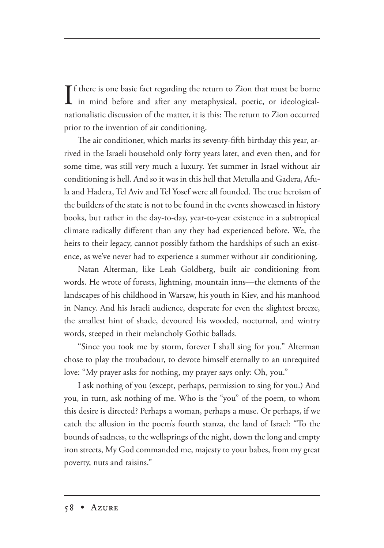If there is one basic fact regarding the return to Zion that must be borne<br>in mind before and after any metaphysical, poetic, or ideological- $\mathbf T$  f there is one basic fact regarding the return to Zion that must be borne nationalistic discussion of the matter, it is this: The return to Zion occurred prior to the invention of air conditioning.

The air conditioner, which marks its seventy-fifth birthday this year, arrived in the Israeli household only forty years later, and even then, and for some time, was still very much a luxury. Yet summer in Israel without air conditioning is hell. And so it was in this hell that Metulla and Gadera, Afula and Hadera, Tel Aviv and Tel Yosef were all founded. The true heroism of the builders of the state is not to be found in the events showcased in history books, but rather in the day-to-day, year-to-year existence in a subtropical climate radically different than any they had experienced before. We, the heirs to their legacy, cannot possibly fathom the hardships of such an existence, as we've never had to experience a summer without air conditioning.

Natan Alterman, like Leah Goldberg, built air conditioning from words. He wrote of forests, lightning, mountain inns—the elements of the landscapes of his childhood in Warsaw, his youth in Kiev, and his manhood in Nancy. And his Israeli audience, desperate for even the slightest breeze, the smallest hint of shade, devoured his wooded, nocturnal, and wintry words, steeped in their melancholy Gothic ballads.

"Since you took me by storm, forever I shall sing for you." Alterman chose to play the troubadour, to devote himself eternally to an unrequited love: "My prayer asks for nothing, my prayer says only: Oh, you."

I ask nothing of you (except, perhaps, permission to sing for you.) And you, in turn, ask nothing of me. Who is the "you" of the poem, to whom this desire is directed? Perhaps a woman, perhaps a muse. Or perhaps, if we catch the allusion in the poem's fourth stanza, the land of Israel: "To the bounds of sadness, to the wellsprings of the night, down the long and empty iron streets, My God commanded me, majesty to your babes, from my great poverty, nuts and raisins."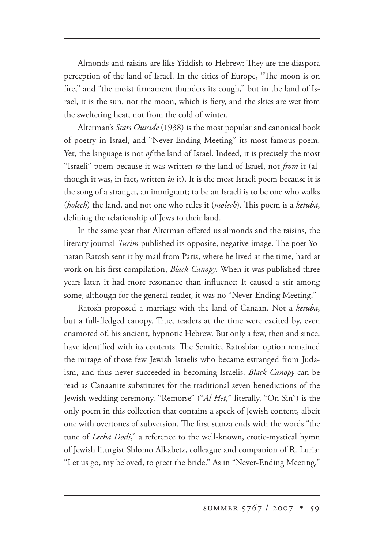Almonds and raisins are like Yiddish to Hebrew: They are the diaspora perception of the land of Israel. In the cities of Europe, "The moon is on fire," and "the moist firmament thunders its cough," but in the land of Israel, it is the sun, not the moon, which is fiery, and the skies are wet from the sweltering heat, not from the cold of winter.

Alterman's *Stars Outside* (1938) is the most popular and canonical book of poetry in Israel, and "Never-Ending Meeting" its most famous poem. Yet, the language is not *of* the land of Israel. Indeed, it is precisely the most "Israeli" poem because it was written *to* the land of Israel, not *from* it (although it was, in fact, written *in* it). It is the most Israeli poem because it is the song of a stranger, an immigrant; to be an Israeli is to be one who walks (*holech*) the land, and not one who rules it (*molech*). This poem is a *ketuba*, defining the relationship of Jews to their land.

In the same year that Alterman offered us almonds and the raisins, the literary journal *Turim* published its opposite, negative image. The poet Yonatan Ratosh sent it by mail from Paris, where he lived at the time, hard at work on his first compilation, *Black Canopy*. When it was published three years later, it had more resonance than influence: It caused a stir among some, although for the general reader, it was no "Never-Ending Meeting."

Ratosh proposed a marriage with the land of Canaan. Not a *ketuba*, but a full-fledged canopy. True, readers at the time were excited by, even enamored of, his ancient, hypnotic Hebrew. But only a few, then and since, have identified with its contents. The Semitic, Ratoshian option remained the mirage of those few Jewish Israelis who became estranged from Judaism, and thus never succeeded in becoming Israelis. *Black Canopy* can be read as Canaanite substitutes for the traditional seven benedictions of the Jewish wedding ceremony. "Remorse" ("*Al Het,*" literally, "On Sin") is the only poem in this collection that contains a speck of Jewish content, albeit one with overtones of subversion. The first stanza ends with the words "the tune of *Lecha Dodi*," a reference to the well-known, erotic-mystical hymn of Jewish liturgist Shlomo Alkabetz, colleague and companion of R. Luria: "Let us go, my beloved, to greet the bride." As in "Never-Ending Meeting,"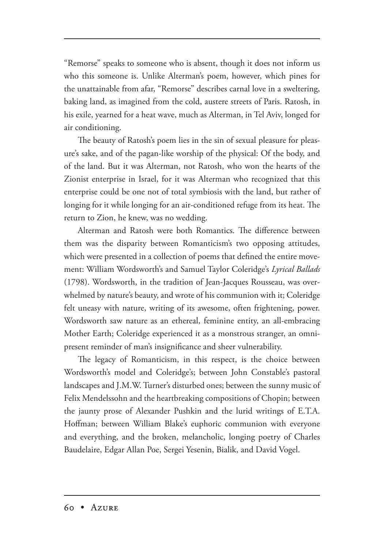"Remorse" speaks to someone who is absent, though it does not inform us who this someone is. Unlike Alterman's poem, however, which pines for the unattainable from afar, "Remorse" describes carnal love in a sweltering, baking land, as imagined from the cold, austere streets of Paris. Ratosh, in his exile, yearned for a heat wave, much as Alterman, in Tel Aviv, longed for air conditioning.

The beauty of Ratosh's poem lies in the sin of sexual pleasure for pleasure's sake, and of the pagan-like worship of the physical: Of the body, and of the land. But it was Alterman, not Ratosh, who won the hearts of the Zionist enterprise in Israel, for it was Alterman who recognized that this enterprise could be one not of total symbiosis with the land, but rather of longing for it while longing for an air-conditioned refuge from its heat. The return to Zion, he knew, was no wedding.

Alterman and Ratosh were both Romantics. The difference between them was the disparity between Romanticism's two opposing attitudes, which were presented in a collection of poems that defined the entire movement: William Wordsworth's and Samuel Taylor Coleridge's *Lyrical Ballads* (1798). Wordsworth, in the tradition of Jean-Jacques Rousseau, was overwhelmed by nature's beauty, and wrote of his communion with it; Coleridge felt uneasy with nature, writing of its awesome, often frightening, power. Wordsworth saw nature as an ethereal, feminine entity, an all-embracing Mother Earth; Coleridge experienced it as a monstrous stranger, an omnipresent reminder of man's insignificance and sheer vulnerability.

The legacy of Romanticism, in this respect, is the choice between Wordsworth's model and Coleridge's; between John Constable's pastoral landscapes and J.M.W. Turner's disturbed ones; between the sunny music of Felix Mendelssohn and the heartbreaking compositions of Chopin; between the jaunty prose of Alexander Pushkin and the lurid writings of E.T.A. Hoffman; between William Blake's euphoric communion with everyone and everything, and the broken, melancholic, longing poetry of Charles Baudelaire, Edgar Allan Poe, Sergei Yesenin, Bialik, and David Vogel.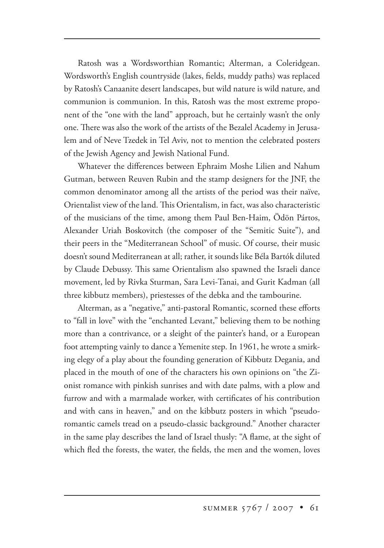Ratosh was a Wordsworthian Romantic; Alterman, a Coleridgean. Wordsworth's English countryside (lakes, fields, muddy paths) was replaced by Ratosh's Canaanite desert landscapes, but wild nature is wild nature, and communion is communion. In this, Ratosh was the most extreme proponent of the "one with the land" approach, but he certainly wasn't the only one. There was also the work of the artists of the Bezalel Academy in Jerusalem and of Neve Tzedek in Tel Aviv, not to mention the celebrated posters of the Jewish Agency and Jewish National Fund.

Whatever the differences between Ephraim Moshe Lilien and Nahum Gutman, between Reuven Rubin and the stamp designers for the JNF, the common denominator among all the artists of the period was their naïve, Orientalist view of the land. This Orientalism, in fact, was also characteristic of the musicians of the time, among them Paul Ben-Haim, Ödön Pártos, Alexander Uriah Boskovitch (the composer of the "Semitic Suite"), and their peers in the "Mediterranean School" of music. Of course, their music doesn't sound Mediterranean at all; rather, it sounds like Béla Bartók diluted by Claude Debussy. This same Orientalism also spawned the Israeli dance movement, led by Rivka Sturman, Sara Levi-Tanai, and Gurit Kadman (all three kibbutz members), priestesses of the debka and the tambourine.

Alterman, as a "negative," anti-pastoral Romantic, scorned these efforts to "fall in love" with the "enchanted Levant," believing them to be nothing more than a contrivance, or a sleight of the painter's hand, or a European foot attempting vainly to dance a Yemenite step. In 1961, he wrote a smirking elegy of a play about the founding generation of Kibbutz Degania, and placed in the mouth of one of the characters his own opinions on "the Zionist romance with pinkish sunrises and with date palms, with a plow and furrow and with a marmalade worker, with certificates of his contribution and with cans in heaven," and on the kibbutz posters in which "pseudoromantic camels tread on a pseudo-classic background." Another character in the same play describes the land of Israel thusly: "A flame, at the sight of which fled the forests, the water, the fields, the men and the women, loves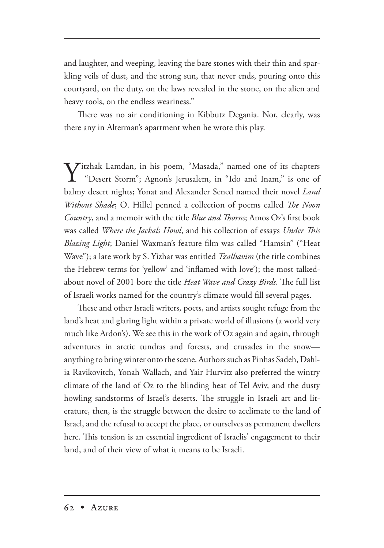and laughter, and weeping, leaving the bare stones with their thin and sparkling veils of dust, and the strong sun, that never ends, pouring onto this courtyard, on the duty, on the laws revealed in the stone, on the alien and heavy tools, on the endless weariness."

There was no air conditioning in Kibbutz Degania. Nor, clearly, was there any in Alterman's apartment when he wrote this play.

Y itzhak Lamdan, in his poem, "Masada," named one of its chapters "Desert Storm"; Agnon's Jerusalem, in "Ido and Inam," is one of balmy desert nights; Yonat and Alexander Sened named their novel *Land Without Shade*; O. Hillel penned a collection of poems called *The Noon Country*, and a memoir with the title *Blue and Thorns*; Amos Oz's first book was called *Where the Jackals Howl*, and his collection of essays *Under This Blazing Light*; Daniel Waxman's feature film was called "Hamsin" ("Heat Wave"); a late work by S. Yizhar was entitled *Tzalhavim* (the title combines the Hebrew terms for 'yellow' and 'inflamed with love'); the most talkedabout novel of 2001 bore the title *Heat Wave and Crazy Birds*. The full list of Israeli works named for the country's climate would fill several pages.

These and other Israeli writers, poets, and artists sought refuge from the land's heat and glaring light within a private world of illusions (a world very much like Ardon's). We see this in the work of Oz again and again, through adventures in arctic tundras and forests, and crusades in the snow anything to bring winter onto the scene. Authors such as Pinhas Sadeh, Dahlia Ravikovitch, Yonah Wallach, and Yair Hurvitz also preferred the wintry climate of the land of Oz to the blinding heat of Tel Aviv, and the dusty howling sandstorms of Israel's deserts. The struggle in Israeli art and literature, then, is the struggle between the desire to acclimate to the land of Israel, and the refusal to accept the place, or ourselves as permanent dwellers here. This tension is an essential ingredient of Israelis' engagement to their land, and of their view of what it means to be Israeli.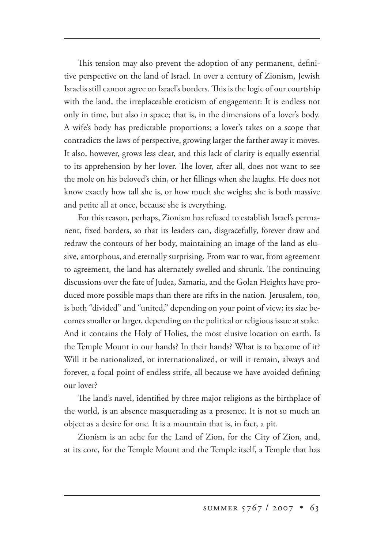This tension may also prevent the adoption of any permanent, definitive perspective on the land of Israel. In over a century of Zionism, Jewish Israelis still cannot agree on Israel's borders. This is the logic of our courtship with the land, the irreplaceable eroticism of engagement: It is endless not only in time, but also in space; that is, in the dimensions of a lover's body. A wife's body has predictable proportions; a lover's takes on a scope that contradicts the laws of perspective, growing larger the farther away it moves. It also, however, grows less clear, and this lack of clarity is equally essential to its apprehension by her lover. The lover, after all, does not want to see the mole on his beloved's chin, or her fillings when she laughs. He does not know exactly how tall she is, or how much she weighs; she is both massive and petite all at once, because she is everything.

For this reason, perhaps, Zionism has refused to establish Israel's permanent, fixed borders, so that its leaders can, disgracefully, forever draw and redraw the contours of her body, maintaining an image of the land as elusive, amorphous, and eternally surprising. From war to war, from agreement to agreement, the land has alternately swelled and shrunk. The continuing discussions over the fate of Judea, Samaria, and the Golan Heights have produced more possible maps than there are rifts in the nation. Jerusalem, too, is both "divided" and "united," depending on your point of view; its size becomes smaller or larger, depending on the political or religious issue at stake. And it contains the Holy of Holies, the most elusive location on earth. Is the Temple Mount in our hands? In their hands? What is to become of it? Will it be nationalized, or internationalized, or will it remain, always and forever, a focal point of endless strife, all because we have avoided defining our lover?

The land's navel, identified by three major religions as the birthplace of the world, is an absence masquerading as a presence. It is not so much an object as a desire for one. It is a mountain that is, in fact, a pit.

Zionism is an ache for the Land of Zion, for the City of Zion, and, at its core, for the Temple Mount and the Temple itself, a Temple that has